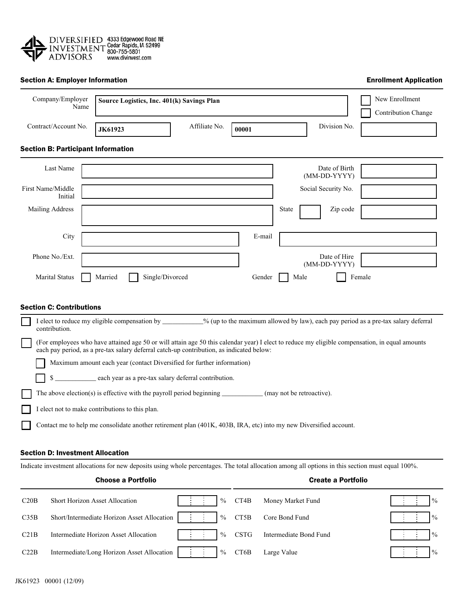

## Section A: Employer Information

Enrollment Application

| Company/Employer<br>Name                                                                                                                          | Source Logistics, Inc. 401(k) Savings Plan                                                                                                                                                                                                 |               |        |                   | New Enrollment<br>Contribution Change |        |      |  |  |  |
|---------------------------------------------------------------------------------------------------------------------------------------------------|--------------------------------------------------------------------------------------------------------------------------------------------------------------------------------------------------------------------------------------------|---------------|--------|-------------------|---------------------------------------|--------|------|--|--|--|
| Contract/Account No.                                                                                                                              | <b>JK61923</b>                                                                                                                                                                                                                             | Affiliate No. | 00001  |                   | Division No.                          |        |      |  |  |  |
| <b>Section B: Participant Information</b>                                                                                                         |                                                                                                                                                                                                                                            |               |        |                   |                                       |        |      |  |  |  |
| Last Name                                                                                                                                         |                                                                                                                                                                                                                                            |               |        |                   | Date of Birth<br>(MM-DD-YYYY)         |        |      |  |  |  |
| First Name/Middle<br>Initial                                                                                                                      |                                                                                                                                                                                                                                            |               |        |                   | Social Security No.                   |        |      |  |  |  |
| Mailing Address                                                                                                                                   |                                                                                                                                                                                                                                            |               |        | State             | Zip code                              |        |      |  |  |  |
| City                                                                                                                                              |                                                                                                                                                                                                                                            |               | E-mail |                   |                                       |        |      |  |  |  |
| Phone No./Ext.                                                                                                                                    |                                                                                                                                                                                                                                            |               |        |                   | Date of Hire<br>(MM-DD-YYYY)          |        |      |  |  |  |
| Marital Status                                                                                                                                    | Single/Divorced<br>Married                                                                                                                                                                                                                 |               | Gender |                   | Male                                  | Female |      |  |  |  |
| <b>Section C: Contributions</b>                                                                                                                   |                                                                                                                                                                                                                                            |               |        |                   |                                       |        |      |  |  |  |
| contribution.                                                                                                                                     | I elect to reduce my eligible compensation by _________% (up to the maximum allowed by law), each pay period as a pre-tax salary deferral                                                                                                  |               |        |                   |                                       |        |      |  |  |  |
|                                                                                                                                                   | (For employees who have attained age 50 or will attain age 50 this calendar year) I elect to reduce my eligible compensation, in equal amounts<br>each pay period, as a pre-tax salary deferral catch-up contribution, as indicated below: |               |        |                   |                                       |        |      |  |  |  |
|                                                                                                                                                   | Maximum amount each year (contact Diversified for further information)                                                                                                                                                                     |               |        |                   |                                       |        |      |  |  |  |
| \$                                                                                                                                                | each year as a pre-tax salary deferral contribution.                                                                                                                                                                                       |               |        |                   |                                       |        |      |  |  |  |
|                                                                                                                                                   | The above election(s) is effective with the payroll period beginning $\qquad \qquad$ (may not be retroactive).                                                                                                                             |               |        |                   |                                       |        |      |  |  |  |
|                                                                                                                                                   | I elect not to make contributions to this plan.                                                                                                                                                                                            |               |        |                   |                                       |        |      |  |  |  |
|                                                                                                                                                   | Contact me to help me consolidate another retirement plan (401K, 403B, IRA, etc) into my new Diversified account.                                                                                                                          |               |        |                   |                                       |        |      |  |  |  |
|                                                                                                                                                   |                                                                                                                                                                                                                                            |               |        |                   |                                       |        |      |  |  |  |
| <b>Section D: Investment Allocation</b>                                                                                                           |                                                                                                                                                                                                                                            |               |        |                   |                                       |        |      |  |  |  |
| Indicate investment allocations for new deposits using whole percentages. The total allocation among all options in this section must equal 100%. |                                                                                                                                                                                                                                            |               |        |                   |                                       |        |      |  |  |  |
|                                                                                                                                                   | <b>Choose a Portfolio</b>                                                                                                                                                                                                                  |               |        |                   | <b>Create a Portfolio</b>             |        |      |  |  |  |
| C20B                                                                                                                                              | <b>Short Horizon Asset Allocation</b>                                                                                                                                                                                                      | $\%$          | CT4B   | Money Market Fund |                                       |        | $\%$ |  |  |  |

| C35B | Short/Intermediate Horizon Asset Allocation   : :   % CT5B Core Bond Fund |  |  |  | $\frac{1}{2}$ $\frac{1}{2}$ $\frac{1}{2}$ $\frac{1}{2}$ $\frac{1}{2}$ $\frac{1}{2}$ $\frac{1}{2}$ $\frac{1}{2}$ $\frac{1}{2}$ $\frac{1}{2}$ $\frac{1}{2}$ $\frac{1}{2}$ $\frac{1}{2}$ $\frac{1}{2}$ $\frac{1}{2}$ $\frac{1}{2}$ $\frac{1}{2}$ $\frac{1}{2}$ $\frac{1}{2}$ $\frac{1}{2}$ $\frac{1}{2}$ $\frac{1}{2}$ |  |
|------|---------------------------------------------------------------------------|--|--|--|---------------------------------------------------------------------------------------------------------------------------------------------------------------------------------------------------------------------------------------------------------------------------------------------------------------------|--|
| C21B |                                                                           |  |  |  |                                                                                                                                                                                                                                                                                                                     |  |
| C22B | Intermediate/Long Horizon Asset Allocation   :: :   % CT6B Large Value    |  |  |  | la strategica                                                                                                                                                                                                                                                                                                       |  |